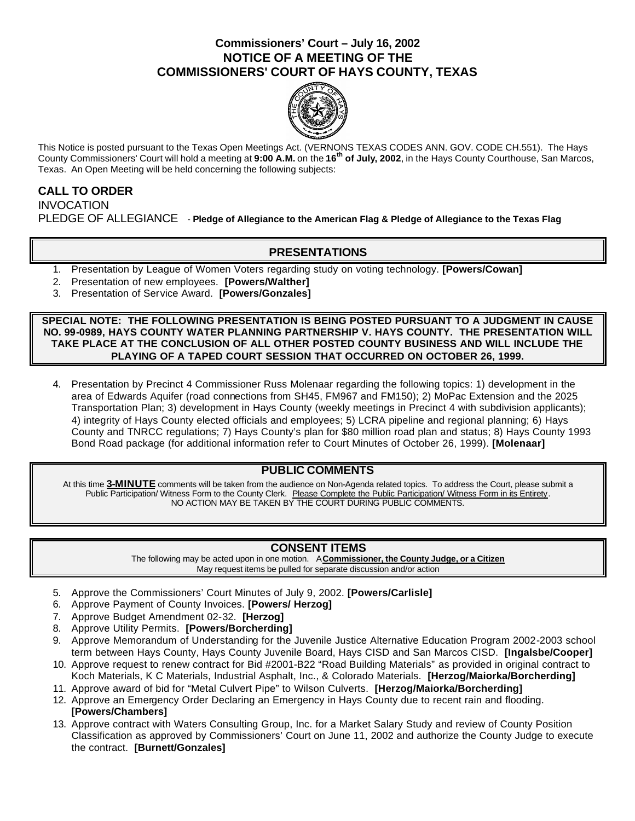## **Commissioners' Court – July 16, 2002 NOTICE OF A MEETING OF THE COMMISSIONERS' COURT OF HAYS COUNTY, TEXAS**



This Notice is posted pursuant to the Texas Open Meetings Act. (VERNONS TEXAS CODES ANN. GOV. CODE CH.551). The Hays County Commissioners' Court will hold a meeting at **9:00 A.M.** on the **16th of July, 2002**, in the Hays County Courthouse, San Marcos, Texas. An Open Meeting will be held concerning the following subjects:

# **CALL TO ORDER INVOCATION** PLEDGE OF ALLEGIANCE - **Pledge of Allegiance to the American Flag & Pledge of Allegiance to the Texas Flag**

## **PRESENTATIONS**

- 1. Presentation by League of Women Voters regarding study on voting technology. **[Powers/Cowan]**
- 2. Presentation of new employees. **[Powers/Walther]**
- 3. Presentation of Service Award. **[Powers/Gonzales]**

**SPECIAL NOTE: THE FOLLOWING PRESENTATION IS BEING POSTED PURSUANT TO A JUDGMENT IN CAUSE NO. 99-0989, HAYS COUNTY WATER PLANNING PARTNERSHIP V. HAYS COUNTY. THE PRESENTATION WILL TAKE PLACE AT THE CONCLUSION OF ALL OTHER POSTED COUNTY BUSINESS AND WILL INCLUDE THE PLAYING OF A TAPED COURT SESSION THAT OCCURRED ON OCTOBER 26, 1999.** 

4. Presentation by Precinct 4 Commissioner Russ Molenaar regarding the following topics: 1) development in the area of Edwards Aquifer (road connections from SH45, FM967 and FM150); 2) MoPac Extension and the 2025 Transportation Plan; 3) development in Hays County (weekly meetings in Precinct 4 with subdivision applicants); 4) integrity of Hays County elected officials and employees; 5) LCRA pipeline and regional planning; 6) Hays County and TNRCC regulations; 7) Hays County's plan for \$80 million road plan and status; 8) Hays County 1993 Bond Road package (for additional information refer to Court Minutes of October 26, 1999). **[Molenaar]**

### **PUBLIC COMMENTS**

At this time **3-MINUTE** comments will be taken from the audience on Non-Agenda related topics. To address the Court, please submit a Public Participation/ Witness Form to the County Clerk. Please Complete the Public Participation/ Witness Form in its Entirety. NO ACTION MAY BE TAKEN BY THE COURT DURING PUBLIC COMMENTS.

### **CONSENT ITEMS**

The following may be acted upon in one motion. A **Commissioner, the County Judge, or a Citizen** May request items be pulled for separate discussion and/or action

- 5. Approve the Commissioners' Court Minutes of July 9, 2002. **[Powers/Carlisle]**
- 6. Approve Payment of County Invoices. **[Powers/ Herzog]**
- 7. Approve Budget Amendment 02-32. **[Herzog]**
- 8. Approve Utility Permits. **[Powers/Borcherding]**
- 9. Approve Memorandum of Understanding for the Juvenile Justice Alternative Education Program 2002-2003 school term between Hays County, Hays County Juvenile Board, Hays CISD and San Marcos CISD. **[Ingalsbe/Cooper]**
- 10. Approve request to renew contract for Bid #2001-B22 "Road Building Materials" as provided in original contract to Koch Materials, K C Materials, Industrial Asphalt, Inc., & Colorado Materials. **[Herzog/Maiorka/Borcherding]**
- 11. Approve award of bid for "Metal Culvert Pipe" to Wilson Culverts. **[Herzog/Maiorka/Borcherding]**
- 12. Approve an Emergency Order Declaring an Emergency in Hays County due to recent rain and flooding. **[Powers/Chambers]**
- 13. Approve contract with Waters Consulting Group, Inc. for a Market Salary Study and review of County Position Classification as approved by Commissioners' Court on June 11, 2002 and authorize the County Judge to execute the contract. **[Burnett/Gonzales]**